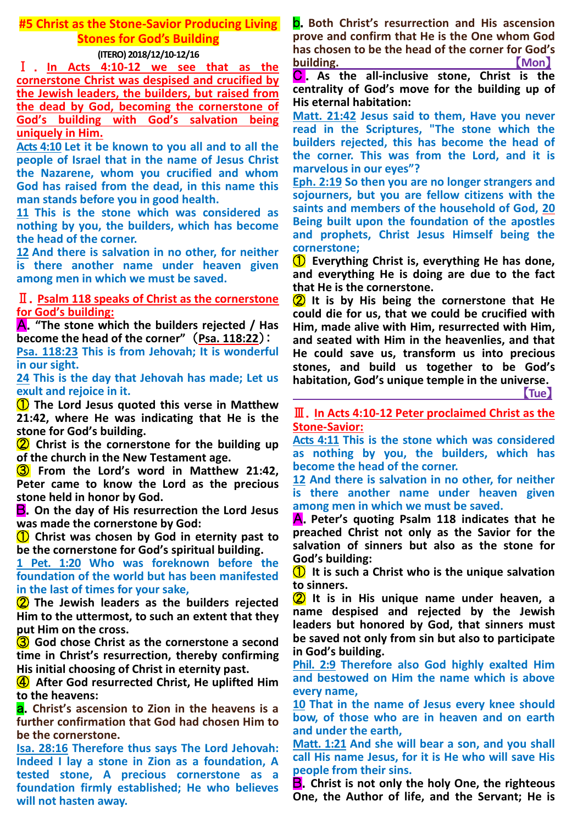# **#5 Christ as the Stone-Savior Producing Living Stones for God's Building**

## **(ITERO) 2018/12/10-12/16**

Ⅰ . **In Acts 4:10-12 we see that as the cornerstone Christ was despised and crucified by the Jewish leaders, the builders, but raised from the dead by God, becoming the cornerstone of God's building with God's salvation being uniquely in Him.**

**Acts 4:10 Let it be known to you all and to all the people of Israel that in the name of Jesus Christ the Nazarene, whom you crucified and whom God has raised from the dead, in this name this man stands before you in good health.**

**11 This is the stone which was considered as nothing by you, the builders, which has become the head of the corner.**

**12 And there is salvation in no other, for neither is there another name under heaven given among men in which we must be saved.**

## Ⅱ.**Psalm 118 speaks of Christ as the cornerstone for God's building:**

A.**"The stone which the builders rejected / Has become the head of the corner"** (**Psa. 118:22**):

**Psa. 118:23 This is from Jehovah; It is wonderful in our sight.**

**24 This is the day that Jehovah has made; Let us exult and rejoice in it.**

① **The Lord Jesus quoted this verse in Matthew 21:42, where He was indicating that He is the stone for God's building.**

② **Christ is the cornerstone for the building up of the church in the New Testament age.**

③ **From the Lord's word in Matthew 21:42, Peter came to know the Lord as the precious stone held in honor by God.**

B.**On the day of His resurrection the Lord Jesus was made the cornerstone by God:**

① **Christ was chosen by God in eternity past to be the cornerstone for God's spiritual building.**

**1 Pet. 1:20 Who was foreknown before the foundation of the world but has been manifested in the last of times for your sake,**

② **The Jewish leaders as the builders rejected Him to the uttermost, to such an extent that they put Him on the cross.**

③ **God chose Christ as the cornerstone a second time in Christ's resurrection, thereby confirming His initial choosing of Christ in eternity past.**

④ **After God resurrected Christ, He uplifted Him to the heavens:**

a.**Christ's ascension to Zion in the heavens is a further confirmation that God had chosen Him to be the cornerstone.**

**Isa. 28:16 Therefore thus says The Lord Jehovah: Indeed I lay a stone in Zion as a foundation, A tested stone, A precious cornerstone as a foundation firmly established; He who believes will not hasten away.**

b.**Both Christ's resurrection and His ascension prove and confirm that He is the One whom God has chosen to be the head of the corner for God's building.** 【**Mon**】

C . **As the all-inclusive stone, Christ is the centrality of God's move for the building up of His eternal habitation:**

**Matt. 21:42 Jesus said to them, Have you never read in the Scriptures, "The stone which the builders rejected, this has become the head of the corner. This was from the Lord, and it is marvelous in our eyes"?**

**Eph. 2:19 So then you are no longer strangers and sojourners, but you are fellow citizens with the saints and members of the household of God, 20 Being built upon the foundation of the apostles and prophets, Christ Jesus Himself being the cornerstone;**

① **Everything Christ is, everything He has done, and everything He is doing are due to the fact that He is the cornerstone.**

② **It is by His being the cornerstone that He could die for us, that we could be crucified with Him, made alive with Him, resurrected with Him, and seated with Him in the heavenlies, and that He could save us, transform us into precious stones, and build us together to be God's habitation, God's unique temple in the universe.**

【**Tue**】

Ⅲ.**In Acts 4:10-12 Peter proclaimed Christ as the Stone-Savior:**

**Acts 4:11 This is the stone which was considered as nothing by you, the builders, which has become the head of the corner.**

**12 And there is salvation in no other, for neither is there another name under heaven given among men in which we must be saved.**

A.**Peter's quoting Psalm 118 indicates that he preached Christ not only as the Savior for the salvation of sinners but also as the stone for God's building:**

① **It is such a Christ who is the unique salvation to sinners.**

② **It is in His unique name under heaven, a name despised and rejected by the Jewish leaders but honored by God, that sinners must be saved not only from sin but also to participate in God's building.**

**Phil. 2:9 Therefore also God highly exalted Him and bestowed on Him the name which is above every name,**

**10 That in the name of Jesus every knee should bow, of those who are in heaven and on earth and under the earth,**

**Matt. 1:21 And she will bear a son, and you shall call His name Jesus, for it is He who will save His people from their sins.**

B.**Christ is not only the holy One, the righteous One, the Author of life, and the Servant; He is**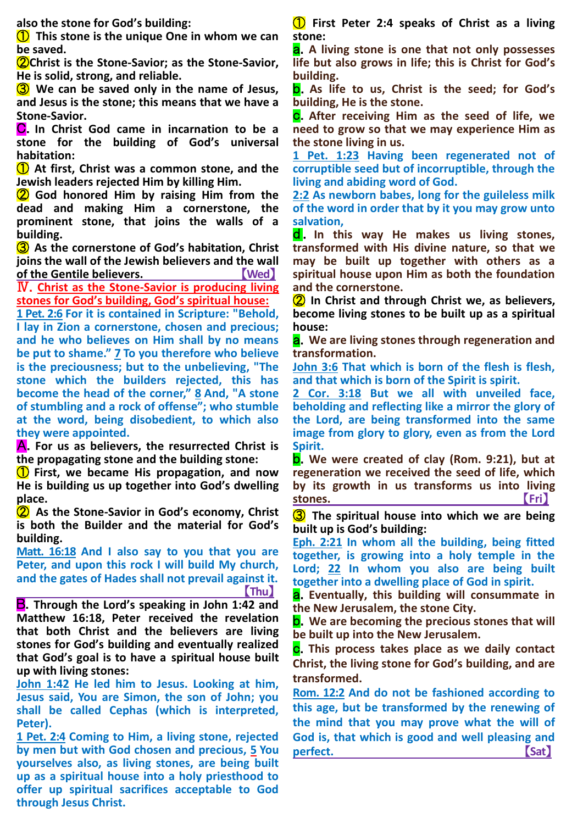**also the stone for God's building:**

① **This stone is the unique One in whom we can be saved.**

②**Christ is the Stone-Savior; as the Stone-Savior, He is solid, strong, and reliable.**

③ **We can be saved only in the name of Jesus, and Jesus is the stone; this means that we have a Stone-Savior.**

C.**In Christ God came in incarnation to be a stone for the building of God's universal habitation:**

① **At first, Christ was a common stone, and the Jewish leaders rejected Him by killing Him.**

② **God honored Him by raising Him from the dead and making Him a cornerstone, the prominent stone, that joins the walls of a building.**

③ **As the cornerstone of God's habitation, Christ joins the wall of the Jewish believers and the wall of the Gentile believers.** 【**Wed**】

Ⅳ.**Christ as the Stone-Savior is producing living stones for God's building, God's spiritual house:**

**1 Pet. 2:6 For it is contained in Scripture: "Behold, I lay in Zion a cornerstone, chosen and precious; and he who believes on Him shall by no means be put to shame." 7 To you therefore who believe is the preciousness; but to the unbelieving, "The stone which the builders rejected, this has become the head of the corner," 8 And, "A stone of stumbling and a rock of offense"; who stumble at the word, being disobedient, to which also they were appointed.**

A.**For us as believers, the resurrected Christ is the propagating stone and the building stone:**

① **First, we became His propagation, and now He is building us up together into God's dwelling place.**

② **As the Stone-Savior in God's economy, Christ is both the Builder and the material for God's building.**

**Matt. 16:18 And I also say to you that you are Peter, and upon this rock I will build My church, and the gates of Hades shall not prevail against it. 【**Thu】 【Thu】 【Thu】 【Thu】 】 【Thu】 【Thu】 】 【Thu】 】 【Thu】 】 【Thu】 】 【Thu】 】 【Thu】 】 【Thu】 】 【Thu】 】 【Thu】 】 【Thu】 】 【Thu】 】 【Thu】 】 【Thu】 】 【Thu】 】 【Thu】 】 【Thu】 】 【Thu】 】 【Thu】 】 【Thu】 】 【Thu】 】 【Thu】 】 【Thu】 】 【Thu】 】 【Th

B.**Through the Lord's speaking in John 1:42 and Matthew 16:18, Peter received the revelation that both Christ and the believers are living stones for God's building and eventually realized that God's goal is to have a spiritual house built up with living stones:**

**John 1:42 He led him to Jesus. Looking at him, Jesus said, You are Simon, the son of John; you shall be called Cephas (which is interpreted, Peter).**

**1 Pet. 2:4 Coming to Him, a living stone, rejected by men but with God chosen and precious, 5 You yourselves also, as living stones, are being built up as a spiritual house into a holy priesthood to offer up spiritual sacrifices acceptable to God through Jesus Christ.**

① **First Peter 2:4 speaks of Christ as a living stone:**

a.**A living stone is one that not only possesses life but also grows in life; this is Christ for God's building.**

b.**As life to us, Christ is the seed; for God's building, He is the stone.**

c.**After receiving Him as the seed of life, we need to grow so that we may experience Him as the stone living in us.**

**1 Pet. 1:23 Having been regenerated not of corruptible seed but of incorruptible, through the living and abiding word of God.**

**2:2 As newborn babes, long for the guileless milk of the word in order that by it you may grow unto salvation,**

d . **In this way He makes us living stones, transformed with His divine nature, so that we may be built up together with others as a spiritual house upon Him as both the foundation and the cornerstone.**

② **In Christ and through Christ we, as believers, become living stones to be built up as a spiritual house:**

a.**We are living stones through regeneration and transformation.**

**John 3:6 That which is born of the flesh is flesh, and that which is born of the Spirit is spirit.**

**2 Cor. 3:18 But we all with unveiled face, beholding and reflecting like a mirror the glory of the Lord, are being transformed into the same image from glory to glory, even as from the Lord Spirit.**

b.**We were created of clay (Rom. 9:21), but at regeneration we received the seed of life, which by its growth in us transforms us into living stones.** The contract of the contract of the contract of the contract of the contract of the contract of the contract of the contract of the contract of the contract of the contract of the contract of the contract of the

③ **The spiritual house into which we are being built up is God's building:**

**Eph. 2:21 In whom all the building, being fitted together, is growing into a holy temple in the Lord; 22 In whom you also are being built together into a dwelling place of God in spirit.**

a.**Eventually, this building will consummate in the New Jerusalem, the stone City.**

b.**We are becoming the precious stones that will be built up into the New Jerusalem.**

c.**This process takes place as we daily contact Christ, the living stone for God's building, and are transformed.**

**Rom. 12:2 And do not be fashioned according to this age, but be transformed by the renewing of the mind that you may prove what the will of God is, that which is good and well pleasing and**  perfect. **Containers** and **Containers** and **Containers** and **Containers** and **Containers** and **Containers** and **Containers** and **Containers** and **Containers** and **Containers** and **Containers** and **Containers** and **Containe**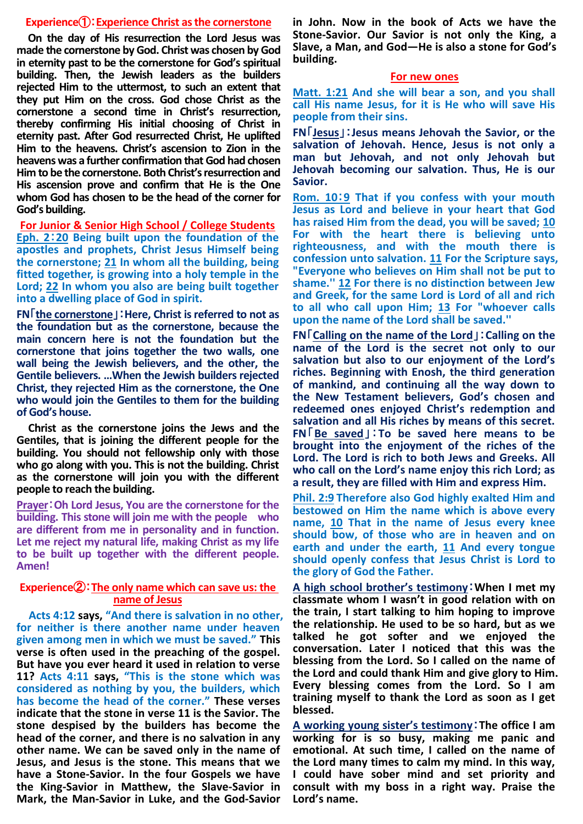#### **Experience**①:**Experience Christ as the cornerstone**

**On the day of His resurrection the Lord Jesus was made the cornerstone by God. Christ was chosen by God in eternity past to be the cornerstone for God's spiritual building. Then, the Jewish leaders as the builders rejected Him to the uttermost, to such an extent that they put Him on the cross. God chose Christ as the cornerstone a second time in Christ's resurrection, thereby confirming His initial choosing of Christ in eternity past. After God resurrected Christ, He uplifted Him to the heavens. Christ's ascension to Zion in the heavens was a further confirmation that God had chosen Him to be the cornerstone. Both Christ's resurrection and His ascension prove and confirm that He is the One whom God has chosen to be the head of the corner for God's building.** 

**For Junior & Senior High School / College Students Eph. 2**:**20 Being built upon the foundation of the apostles and prophets, Christ Jesus Himself being the cornerstone; 21 In whom all the building, being fitted together, is growing into a holy temple in the Lord; 22 In whom you also are being built together into a dwelling place of God in spirit.** 

**FN**「**the cornerstone**」:**Here, Christ is referred to not as the foundation but as the cornerstone, because the main concern here is not the foundation but the cornerstone that joins together the two walls, one wall being the Jewish believers, and the other, the Gentile believers. …When the Jewish builders rejected Christ, they rejected Him as the cornerstone, the One who would join the Gentiles to them for the building of God's house.** 

**Christ as the cornerstone joins the Jews and the Gentiles, that is joining the different people for the building. You should not fellowship only with those who go along with you. This is not the building. Christ as the cornerstone will join you with the different people to reach the building.**

**Prayer**:**Oh Lord Jesus, You are the cornerstone for the building. This stone will join me with the people who are different from me in personality and in function. Let me reject my natural life, making Christ as my life to be built up together with the different people. Amen!** 

### **Experience**②:**The only name which can save us: the name of Jesus**

**Acts 4:12 says, "And there is salvation in no other, for neither is there another name under heaven given among men in which we must be saved." This verse is often used in the preaching of the gospel. But have you ever heard it used in relation to verse 11? Acts 4:11 says, "This is the stone which was considered as nothing by you, the builders, which has become the head of the corner." These verses indicate that the stone in verse 11 is the Savior. The stone despised by the builders has become the head of the corner, and there is no salvation in any other name. We can be saved only in the name of Jesus, and Jesus is the stone. This means that we have a Stone-Savior. In the four Gospels we have the King-Savior in Matthew, the Slave-Savior in Mark, the Man-Savior in Luke, and the God-Savior** 

**in John. Now in the book of Acts we have the Stone-Savior. Our Savior is not only the King, a Slave, a Man, and God—He is also a stone for God's building.** 

#### **For new ones**

**Matt. 1:21 And she will bear a son, and you shall call His name Jesus, for it is He who will save His people from their sins.**

**FN**「**Jesus**」:**Jesus means Jehovah the Savior, or the salvation of Jehovah. Hence, Jesus is not only a man but Jehovah, and not only Jehovah but Jehovah becoming our salvation. Thus, He is our Savior.** 

**Rom. 10**:**9 That if you confess with your mouth Jesus as Lord and believe in your heart that God has raised Him from the dead, you will be saved; 10 For with the heart there is believing unto righteousness, and with the mouth there is confession unto salvation. 11 For the Scripture says, "Everyone who believes on Him shall not be put to shame.'' 12 For there is no distinction between Jew and Greek, for the same Lord is Lord of all and rich to all who call upon Him; 13 For "whoever calls upon the name of the Lord shall be saved.''**

**FN**「**Calling on the name of the Lord**」:**Calling on the name of the Lord is the secret not only to our salvation but also to our enjoyment of the Lord's riches. Beginning with Enosh, the third generation of mankind, and continuing all the way down to the New Testament believers, God's chosen and redeemed ones enjoyed Christ's redemption and salvation and all His riches by means of this secret. FN**「**Be saved**」:**To be saved here means to be brought into the enjoyment of the riches of the Lord. The Lord is rich to both Jews and Greeks. All who call on the Lord's name enjoy this rich Lord; as a result, they are filled with Him and express Him.** 

**Phil. 2:9 Therefore also God highly exalted Him and bestowed on Him the name which is above every name, 10 That in the name of Jesus every knee should bow, of those who are in heaven and on earth and under the earth, 11 And every tongue should openly confess that Jesus Christ is Lord to the glory of God the Father.**

**A high school brother's testimony**:**When I met my classmate whom I wasn't in good relation with on the train, I start talking to him hoping to improve the relationship. He used to be so hard, but as we talked he got softer and we enjoyed the conversation. Later I noticed that this was the blessing from the Lord. So I called on the name of the Lord and could thank Him and give glory to Him. Every blessing comes from the Lord. So I am training myself to thank the Lord as soon as I get blessed.**

**A working young sister's testimony**:**The office I am working for is so busy, making me panic and emotional. At such time, I called on the name of the Lord many times to calm my mind. In this way, I could have sober mind and set priority and consult with my boss in a right way. Praise the Lord's name.**